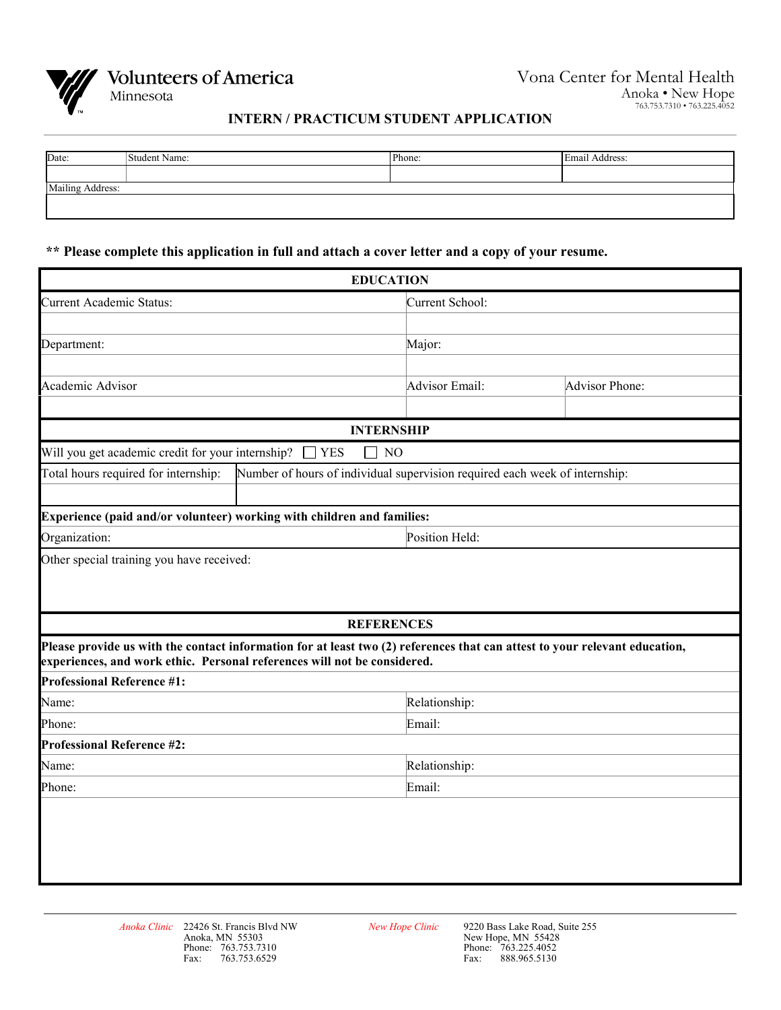

**Volunteers of America** 

Minnesota

## **INTERN / PRACTICUM STUDENT APPLICATION**

| Date:            | Student Name: | Phone: | Email Address: |  |  |
|------------------|---------------|--------|----------------|--|--|
|                  |               |        |                |  |  |
| Mailing Address: |               |        |                |  |  |
|                  |               |        |                |  |  |
|                  |               |        |                |  |  |

**\*\* Please complete this application in full and attach a cover letter and a copy of your resume.**

|                                                                                                                                                                                                        | <b>EDUCATION</b>  |                                                                             |                |  |  |  |  |
|--------------------------------------------------------------------------------------------------------------------------------------------------------------------------------------------------------|-------------------|-----------------------------------------------------------------------------|----------------|--|--|--|--|
| <b>Current Academic Status:</b>                                                                                                                                                                        |                   | Current School:                                                             |                |  |  |  |  |
|                                                                                                                                                                                                        |                   |                                                                             |                |  |  |  |  |
| Department:                                                                                                                                                                                            |                   | Major:                                                                      |                |  |  |  |  |
|                                                                                                                                                                                                        |                   |                                                                             |                |  |  |  |  |
| Academic Advisor                                                                                                                                                                                       |                   | <b>Advisor Email:</b>                                                       | Advisor Phone: |  |  |  |  |
|                                                                                                                                                                                                        |                   |                                                                             |                |  |  |  |  |
|                                                                                                                                                                                                        | <b>INTERNSHIP</b> |                                                                             |                |  |  |  |  |
| Will you get academic credit for your internship?<br><b>YES</b><br>N <sub>O</sub>                                                                                                                      |                   |                                                                             |                |  |  |  |  |
| Total hours required for internship:                                                                                                                                                                   |                   | Number of hours of individual supervision required each week of internship: |                |  |  |  |  |
|                                                                                                                                                                                                        |                   |                                                                             |                |  |  |  |  |
| Experience (paid and/or volunteer) working with children and families:                                                                                                                                 |                   |                                                                             |                |  |  |  |  |
| Organization:                                                                                                                                                                                          |                   | Position Held:                                                              |                |  |  |  |  |
|                                                                                                                                                                                                        |                   |                                                                             |                |  |  |  |  |
|                                                                                                                                                                                                        | <b>REFERENCES</b> |                                                                             |                |  |  |  |  |
| Please provide us with the contact information for at least two (2) references that can attest to your relevant education,<br>experiences, and work ethic. Personal references will not be considered. |                   |                                                                             |                |  |  |  |  |
| <b>Professional Reference #1:</b>                                                                                                                                                                      |                   |                                                                             |                |  |  |  |  |
| Name:                                                                                                                                                                                                  |                   | Relationship:                                                               |                |  |  |  |  |
| Phone:                                                                                                                                                                                                 |                   | Email:                                                                      |                |  |  |  |  |
| <b>Professional Reference #2:</b>                                                                                                                                                                      |                   |                                                                             |                |  |  |  |  |
| Name:                                                                                                                                                                                                  |                   | Relationship:                                                               |                |  |  |  |  |
| Phone:                                                                                                                                                                                                 |                   | Email:                                                                      |                |  |  |  |  |
|                                                                                                                                                                                                        |                   |                                                                             |                |  |  |  |  |
|                                                                                                                                                                                                        |                   |                                                                             |                |  |  |  |  |
|                                                                                                                                                                                                        |                   |                                                                             |                |  |  |  |  |
|                                                                                                                                                                                                        |                   |                                                                             |                |  |  |  |  |